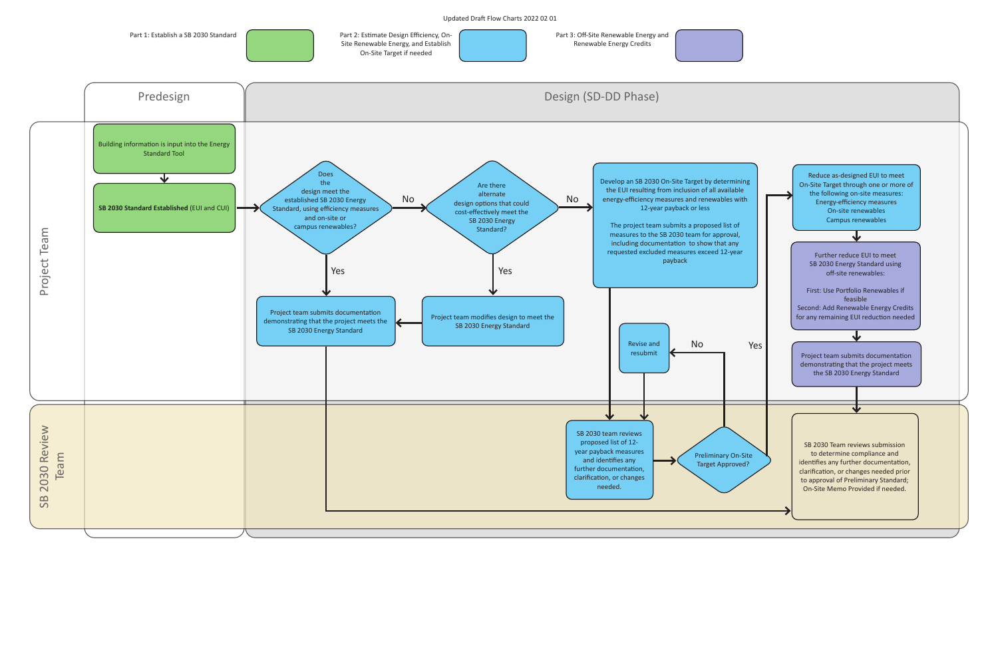

Renewable Energy Credits



Updated Draft Flow Charts 2022 02 01